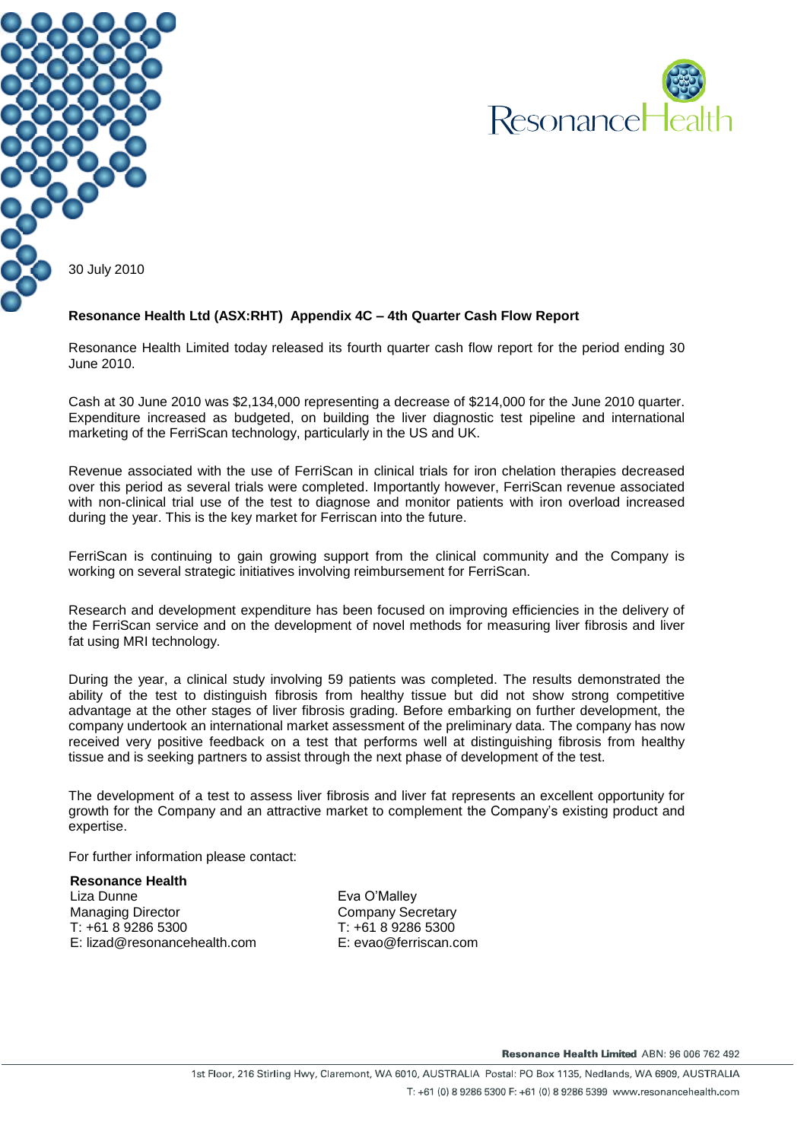



#### **Resonance Health Ltd (ASX:RHT) Appendix 4C – 4th Quarter Cash Flow Report**

Resonance Health Limited today released its fourth quarter cash flow report for the period ending 30 June 2010.

Cash at 30 June 2010 was \$2,134,000 representing a decrease of \$214,000 for the June 2010 quarter. Expenditure increased as budgeted, on building the liver diagnostic test pipeline and international marketing of the FerriScan technology, particularly in the US and UK.

Revenue associated with the use of FerriScan in clinical trials for iron chelation therapies decreased over this period as several trials were completed. Importantly however, FerriScan revenue associated with non-clinical trial use of the test to diagnose and monitor patients with iron overload increased during the year. This is the key market for Ferriscan into the future.

FerriScan is continuing to gain growing support from the clinical community and the Company is working on several strategic initiatives involving reimbursement for FerriScan.

Research and development expenditure has been focused on improving efficiencies in the delivery of the FerriScan service and on the development of novel methods for measuring liver fibrosis and liver fat using MRI technology.

During the year, a clinical study involving 59 patients was completed. The results demonstrated the ability of the test to distinguish fibrosis from healthy tissue but did not show strong competitive advantage at the other stages of liver fibrosis grading. Before embarking on further development, the company undertook an international market assessment of the preliminary data. The company has now received very positive feedback on a test that performs well at distinguishing fibrosis from healthy tissue and is seeking partners to assist through the next phase of development of the test.

The development of a test to assess liver fibrosis and liver fat represents an excellent opportunity for growth for the Company and an attractive market to complement the Company's existing product and expertise.

For further information please contact:

**Resonance Health** Liza Dunne Managing Director T: +61 8 9286 5300 E: lizad@resonancehealth.com

Eva O'Malley Company Secretary T: +61 8 9286 5300 E: evao@ferriscan.com

Resonance Health Limited ABN: 96 006 762 492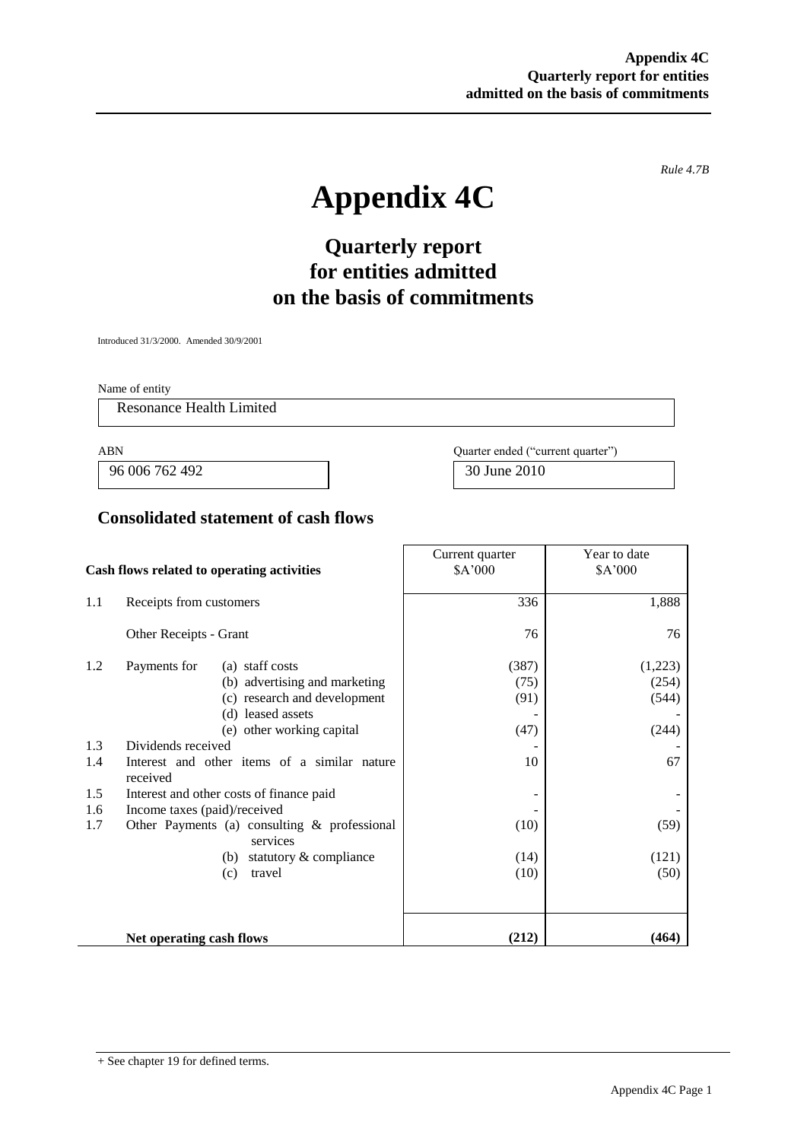*Rule 4.7B*

# **Appendix 4C**

## **Quarterly report for entities admitted on the basis of commitments**

Introduced 31/3/2000. Amended 30/9/2001

Name of entity

Resonance Health Limited

96 006 762 492 30 June 2010

ABN Quarter ended ("current quarter")

### **Consolidated statement of cash flows**

|                                            |                                                                                                                          | Current quarter                                                                                                                    | Year to date                  |                                    |
|--------------------------------------------|--------------------------------------------------------------------------------------------------------------------------|------------------------------------------------------------------------------------------------------------------------------------|-------------------------------|------------------------------------|
| Cash flows related to operating activities |                                                                                                                          | \$A'000                                                                                                                            | \$A'000                       |                                    |
| 1.1                                        | Receipts from customers                                                                                                  |                                                                                                                                    | 336                           | 1,888                              |
|                                            | Other Receipts - Grant                                                                                                   |                                                                                                                                    | 76                            | 76                                 |
| 1.2                                        | Payments for                                                                                                             | (a) staff costs<br>(b) advertising and marketing<br>(c) research and development<br>(d) leased assets<br>(e) other working capital | (387)<br>(75)<br>(91)<br>(47) | (1,223)<br>(254)<br>(544)<br>(244) |
| 1.3<br>1.4                                 | Dividends received<br>received                                                                                           | Interest and other items of a similar nature                                                                                       | 10                            | 67                                 |
| 1.5<br>1.6<br>1.7                          | Interest and other costs of finance paid<br>Income taxes (paid)/received<br>Other Payments (a) consulting & professional |                                                                                                                                    | (10)                          | (59)                               |
|                                            |                                                                                                                          | services<br>statutory & compliance<br>(b)<br>travel<br>(c)                                                                         | (14)<br>(10)                  | (121)<br>(50)                      |
|                                            | Net operating cash flows                                                                                                 |                                                                                                                                    | (212)                         | (464)                              |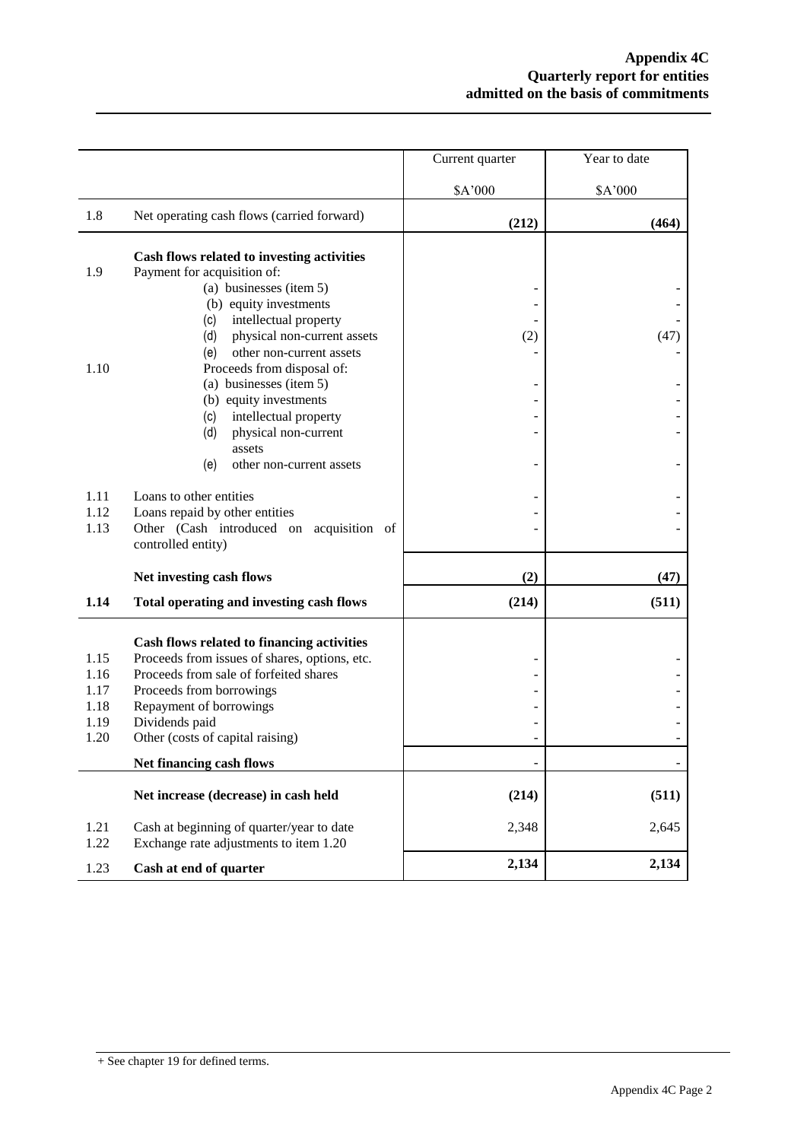|              |                                                                                         | Current quarter | Year to date |
|--------------|-----------------------------------------------------------------------------------------|-----------------|--------------|
|              |                                                                                         | \$A'000         | \$A'000      |
| 1.8          | Net operating cash flows (carried forward)                                              | (212)           | (464)        |
|              | Cash flows related to investing activities                                              |                 |              |
| 1.9          | Payment for acquisition of:                                                             |                 |              |
|              | (a) businesses (item 5)<br>(b) equity investments                                       |                 |              |
|              | intellectual property<br>(c)                                                            |                 |              |
|              | physical non-current assets<br>(d)                                                      | (2)             | (47)         |
|              | other non-current assets<br>(e)                                                         |                 |              |
| 1.10         | Proceeds from disposal of:                                                              |                 |              |
|              | (a) businesses (item 5)                                                                 |                 |              |
|              | (b) equity investments                                                                  |                 |              |
|              | intellectual property<br>(c)<br>physical non-current<br>(d)                             |                 |              |
|              | assets                                                                                  |                 |              |
|              | (e)<br>other non-current assets                                                         |                 |              |
| 1.11         | Loans to other entities                                                                 |                 |              |
| 1.12         | Loans repaid by other entities                                                          |                 |              |
| 1.13         | Other (Cash introduced on acquisition of                                                |                 |              |
|              | controlled entity)                                                                      |                 |              |
|              | Net investing cash flows                                                                | (2)             | (47)         |
| 1.14         | Total operating and investing cash flows                                                | (214)           | (511)        |
|              |                                                                                         |                 |              |
|              | Cash flows related to financing activities                                              |                 |              |
| 1.15<br>1.16 | Proceeds from issues of shares, options, etc.<br>Proceeds from sale of forfeited shares |                 |              |
| 1.17         | Proceeds from borrowings                                                                |                 |              |
| 1.18         | Repayment of borrowings                                                                 |                 |              |
| 1.19         | Dividends paid                                                                          |                 |              |
| 1.20         | Other (costs of capital raising)                                                        |                 |              |
|              | Net financing cash flows                                                                |                 |              |
|              | Net increase (decrease) in cash held                                                    | (214)           | (511)        |
| 1.21<br>1.22 | Cash at beginning of quarter/year to date<br>Exchange rate adjustments to item 1.20     | 2,348           | 2,645        |
| 1.23         | Cash at end of quarter                                                                  | 2,134           | 2,134        |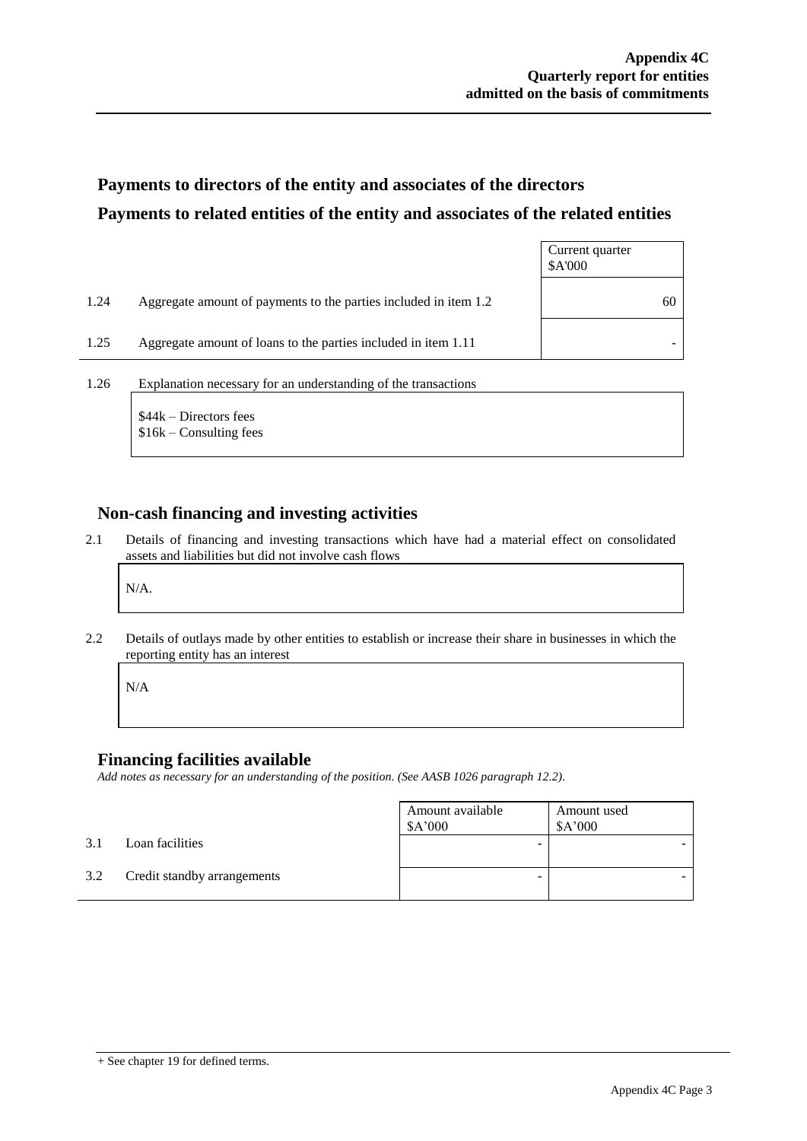## **Payments to directors of the entity and associates of the directors Payments to related entities of the entity and associates of the related entities**

|      |                                                                  | Current quarter<br>\$A'000 |
|------|------------------------------------------------------------------|----------------------------|
| 1.24 | Aggregate amount of payments to the parties included in item 1.2 | 60                         |
| 1.25 | Aggregate amount of loans to the parties included in item 1.11   |                            |
|      |                                                                  |                            |

1.26 Explanation necessary for an understanding of the transactions

\$44k – Directors fees \$16k – Consulting fees

#### **Non-cash financing and investing activities**

2.1 Details of financing and investing transactions which have had a material effect on consolidated assets and liabilities but did not involve cash flows

N/A.

2.2 Details of outlays made by other entities to establish or increase their share in businesses in which the reporting entity has an interest

N/A

#### **Financing facilities available**

*Add notes as necessary for an understanding of the position. (See AASB 1026 paragraph 12.2).*

|     |                             | Amount available<br>\$A'000 | Amount used<br>\$A'000 |
|-----|-----------------------------|-----------------------------|------------------------|
| 3.1 | Loan facilities             | -                           |                        |
| 3.2 | Credit standby arrangements | -                           |                        |